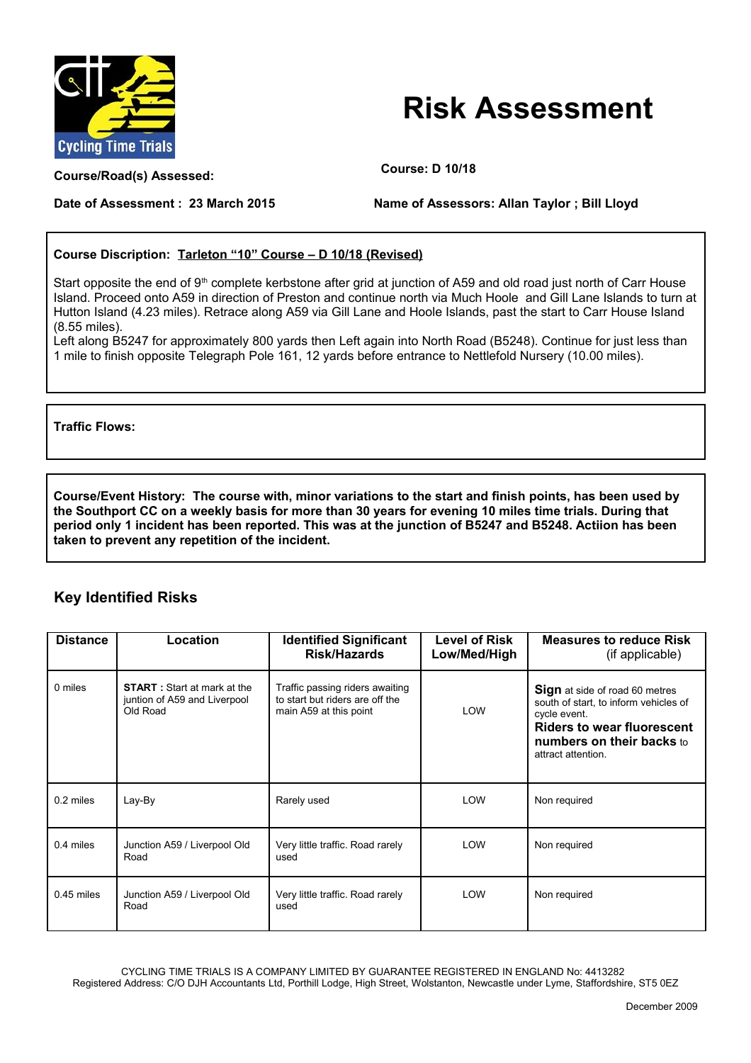

## **Risk Assessment**

**Course/Road(s) Assessed: Course: D 10/18**

## **Date of Assessment : 23 March 2015 Name of Assessors: Allan Taylor ; Bill Lloyd**

## **Course Discription: Tarleton "10" Course – D 10/18 (Revised)**

Start opposite the end of 9<sup>th</sup> complete kerbstone after grid at junction of A59 and old road just north of Carr House Island. Proceed onto A59 in direction of Preston and continue north via Much Hoole and Gill Lane Islands to turn at Hutton Island (4.23 miles). Retrace along A59 via Gill Lane and Hoole Islands, past the start to Carr House Island (8.55 miles).

Left along B5247 for approximately 800 yards then Left again into North Road (B5248). Continue for just less than 1 mile to finish opposite Telegraph Pole 161, 12 yards before entrance to Nettlefold Nursery (10.00 miles).

**Traffic Flows:**

**Course/Event History: The course with, minor variations to the start and finish points, has been used by the Southport CC on a weekly basis for more than 30 years for evening 10 miles time trials. During that period only 1 incident has been reported. This was at the junction of B5247 and B5248. Actiion has been taken to prevent any repetition of the incident.**

## **Key Identified Risks**

| <b>Distance</b> | Location                                                                        | <b>Identified Significant</b><br><b>Risk/Hazards</b>                                         | <b>Level of Risk</b><br>Low/Med/High | <b>Measures to reduce Risk</b><br>(if applicable)                                                                                                                                      |
|-----------------|---------------------------------------------------------------------------------|----------------------------------------------------------------------------------------------|--------------------------------------|----------------------------------------------------------------------------------------------------------------------------------------------------------------------------------------|
| 0 miles         | <b>START</b> : Start at mark at the<br>juntion of A59 and Liverpool<br>Old Road | Traffic passing riders awaiting<br>to start but riders are off the<br>main A59 at this point | <b>LOW</b>                           | Sign at side of road 60 metres<br>south of start, to inform vehicles of<br>cycle event.<br><b>Riders to wear fluorescent</b><br><b>numbers on their backs to</b><br>attract attention. |
| $0.2$ miles     | Lay-By                                                                          | Rarely used                                                                                  | <b>LOW</b>                           | Non required                                                                                                                                                                           |
| 0.4 miles       | Junction A59 / Liverpool Old<br>Road                                            | Very little traffic. Road rarely<br>used                                                     | LOW                                  | Non required                                                                                                                                                                           |
| $0.45$ miles    | Junction A59 / Liverpool Old<br>Road                                            | Very little traffic. Road rarely<br>used                                                     | <b>LOW</b>                           | Non required                                                                                                                                                                           |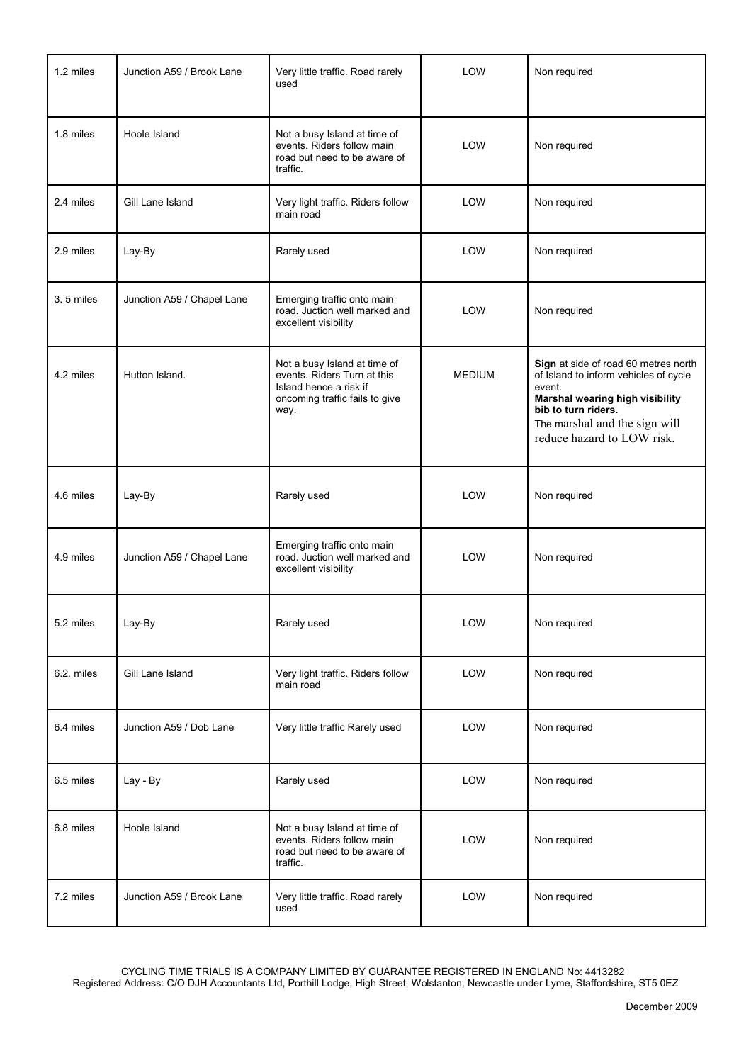| 1.2 miles  | Junction A59 / Brook Lane  | Very little traffic. Road rarely<br>used                                                                                        | LOW           | Non required                                                                                                                                                                                                     |
|------------|----------------------------|---------------------------------------------------------------------------------------------------------------------------------|---------------|------------------------------------------------------------------------------------------------------------------------------------------------------------------------------------------------------------------|
| 1.8 miles  | Hoole Island               | Not a busy Island at time of<br>events. Riders follow main<br>road but need to be aware of<br>traffic.                          | LOW           | Non required                                                                                                                                                                                                     |
| 2.4 miles  | Gill Lane Island           | Very light traffic. Riders follow<br>main road                                                                                  | LOW           | Non required                                                                                                                                                                                                     |
| 2.9 miles  | Lay-By                     | Rarely used                                                                                                                     | <b>LOW</b>    | Non required                                                                                                                                                                                                     |
| 3.5 miles  | Junction A59 / Chapel Lane | Emerging traffic onto main<br>road. Juction well marked and<br>excellent visibility                                             | LOW           | Non required                                                                                                                                                                                                     |
| 4.2 miles  | Hutton Island.             | Not a busy Island at time of<br>events. Riders Turn at this<br>Island hence a risk if<br>oncoming traffic fails to give<br>way. | <b>MEDIUM</b> | Sign at side of road 60 metres north<br>of Island to inform vehicles of cycle<br>event.<br>Marshal wearing high visibility<br>bib to turn riders.<br>The marshal and the sign will<br>reduce hazard to LOW risk. |
| 4.6 miles  | Lay-By                     | Rarely used                                                                                                                     | <b>LOW</b>    | Non required                                                                                                                                                                                                     |
| 4.9 miles  | Junction A59 / Chapel Lane | Emerging traffic onto main<br>road. Juction well marked and<br>excellent visibility                                             | LOW           | Non required                                                                                                                                                                                                     |
| 5.2 miles  | Lay-By                     | Rarely used                                                                                                                     | LOW           | Non required                                                                                                                                                                                                     |
| 6.2. miles | Gill Lane Island           | Very light traffic. Riders follow<br>main road                                                                                  | LOW           | Non required                                                                                                                                                                                                     |
| 6.4 miles  | Junction A59 / Dob Lane    | Very little traffic Rarely used                                                                                                 | LOW           | Non required                                                                                                                                                                                                     |
| 6.5 miles  | Lay - By                   | Rarely used                                                                                                                     | LOW           | Non required                                                                                                                                                                                                     |
| 6.8 miles  | Hoole Island               | Not a busy Island at time of<br>events. Riders follow main<br>road but need to be aware of<br>traffic.                          | LOW           | Non required                                                                                                                                                                                                     |
| 7.2 miles  | Junction A59 / Brook Lane  | Very little traffic. Road rarely<br>used                                                                                        | LOW           | Non required                                                                                                                                                                                                     |